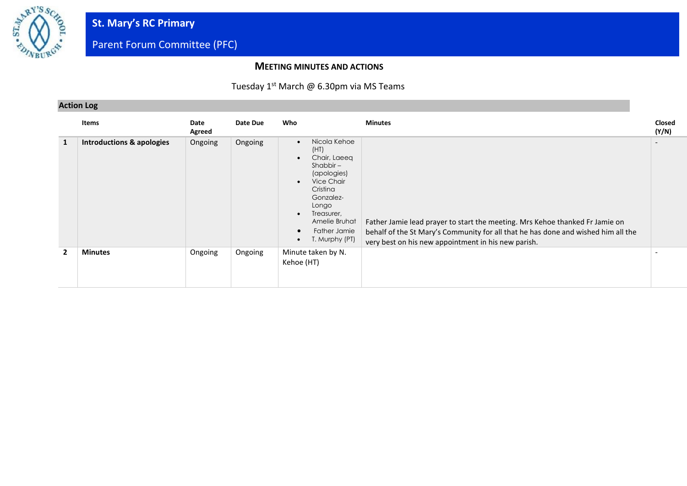

### **MEETING MINUTES AND ACTIONS**

### Tuesday 1<sup>st</sup> March @ 6.30pm via MS Teams

### **Action Log**

|                | Items                                | Date<br>Agreed | Date Due | Who                                                                                                                                                                                                                                     | <b>Minutes</b>                                                                                                                                                                                                           | Closed<br>(Y/N) |
|----------------|--------------------------------------|----------------|----------|-----------------------------------------------------------------------------------------------------------------------------------------------------------------------------------------------------------------------------------------|--------------------------------------------------------------------------------------------------------------------------------------------------------------------------------------------------------------------------|-----------------|
| 1              | <b>Introductions &amp; apologies</b> | Ongoing        | Ongoing  | Nicola Kehoe<br>$\bullet$<br>(HT)<br>Chair, Laeeg<br>$Shabbir -$<br>(apologies)<br>Vice Chair<br>Cristina<br>Gonzalez-<br>Longo<br>Treasurer,<br>$\bullet$<br>Amelie Bruhat<br>Father Jamie<br>$\bullet$<br>T. Murphy (PT)<br>$\bullet$ | Father Jamie lead prayer to start the meeting. Mrs Kehoe thanked Fr Jamie on<br>behalf of the St Mary's Community for all that he has done and wished him all the<br>very best on his new appointment in his new parish. |                 |
| $\overline{2}$ | <b>Minutes</b>                       | Ongoing        | Ongoing  | Minute taken by N.<br>Kehoe (HT)                                                                                                                                                                                                        |                                                                                                                                                                                                                          |                 |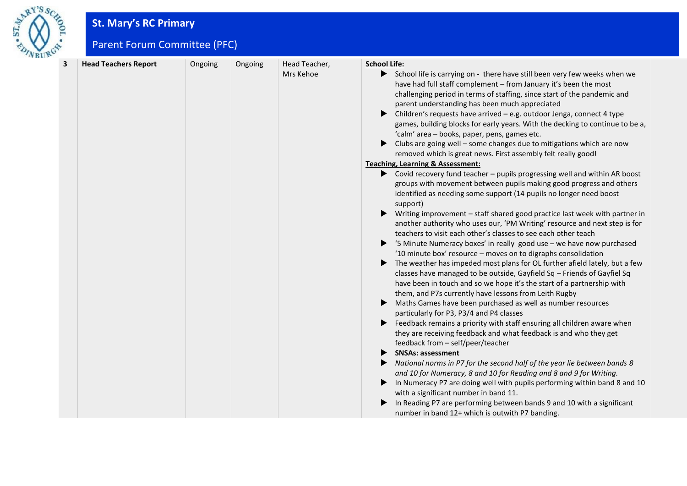

# **St. Mary's RC Primary**

Parent Forum Committee (PFC)

| 3 |                             |         |         |                            | <b>School Life:</b>                                                                                                                                                                                                                                                                                                                                                                                                                                                                                                                                                                                                                                                                                                                                                                                                                                                                                                                                                                                                                                                                                                                                                                                                                                                                                                                                                                                                                                                                                                                                                                                                                                                                                                                                                                                                                                                                                                                                                                                                                                          |
|---|-----------------------------|---------|---------|----------------------------|--------------------------------------------------------------------------------------------------------------------------------------------------------------------------------------------------------------------------------------------------------------------------------------------------------------------------------------------------------------------------------------------------------------------------------------------------------------------------------------------------------------------------------------------------------------------------------------------------------------------------------------------------------------------------------------------------------------------------------------------------------------------------------------------------------------------------------------------------------------------------------------------------------------------------------------------------------------------------------------------------------------------------------------------------------------------------------------------------------------------------------------------------------------------------------------------------------------------------------------------------------------------------------------------------------------------------------------------------------------------------------------------------------------------------------------------------------------------------------------------------------------------------------------------------------------------------------------------------------------------------------------------------------------------------------------------------------------------------------------------------------------------------------------------------------------------------------------------------------------------------------------------------------------------------------------------------------------------------------------------------------------------------------------------------------------|
|   | <b>Head Teachers Report</b> | Ongoing | Ongoing | Head Teacher,<br>Mrs Kehoe | School life is carrying on - there have still been very few weeks when we<br>have had full staff complement - from January it's been the most<br>challenging period in terms of staffing, since start of the pandemic and<br>parent understanding has been much appreciated<br>Children's requests have arrived - e.g. outdoor Jenga, connect 4 type<br>▶<br>games, building blocks for early years. With the decking to continue to be a,<br>'calm' area - books, paper, pens, games etc.<br>$\blacktriangleright$ Clubs are going well – some changes due to mitigations which are now<br>removed which is great news. First assembly felt really good!<br><b>Teaching, Learning &amp; Assessment:</b><br>▶ Covid recovery fund teacher – pupils progressing well and within AR boost<br>groups with movement between pupils making good progress and others<br>identified as needing some support (14 pupils no longer need boost<br>support)<br>Writing improvement - staff shared good practice last week with partner in<br>▶<br>another authority who uses our, 'PM Writing' resource and next step is for<br>teachers to visit each other's classes to see each other teach<br>'5 Minute Numeracy boxes' in really good use - we have now purchased<br>▶<br>'10 minute box' resource - moves on to digraphs consolidation<br>The weather has impeded most plans for OL further afield lately, but a few<br>▶<br>classes have managed to be outside, Gayfield Sq - Friends of Gayfiel Sq<br>have been in touch and so we hope it's the start of a partnership with<br>them, and P7s currently have lessons from Leith Rugby<br>Maths Games have been purchased as well as number resources<br>particularly for P3, P3/4 and P4 classes<br>Example Feedback remains a priority with staff ensuring all children aware when<br>they are receiving feedback and what feedback is and who they get<br>feedback from - self/peer/teacher<br><b>SNSAs: assessment</b><br>▶<br>National norms in P7 for the second half of the year lie between bands 8<br>▶ |
|   |                             |         |         |                            | and 10 for Numeracy, 8 and 10 for Reading and 8 and 9 for Writing.<br>In Numeracy P7 are doing well with pupils performing within band 8 and 10<br>with a significant number in band 11.                                                                                                                                                                                                                                                                                                                                                                                                                                                                                                                                                                                                                                                                                                                                                                                                                                                                                                                                                                                                                                                                                                                                                                                                                                                                                                                                                                                                                                                                                                                                                                                                                                                                                                                                                                                                                                                                     |
|   |                             |         |         |                            | In Reading P7 are performing between bands 9 and 10 with a significant<br>number in band 12+ which is outwith P7 banding.                                                                                                                                                                                                                                                                                                                                                                                                                                                                                                                                                                                                                                                                                                                                                                                                                                                                                                                                                                                                                                                                                                                                                                                                                                                                                                                                                                                                                                                                                                                                                                                                                                                                                                                                                                                                                                                                                                                                    |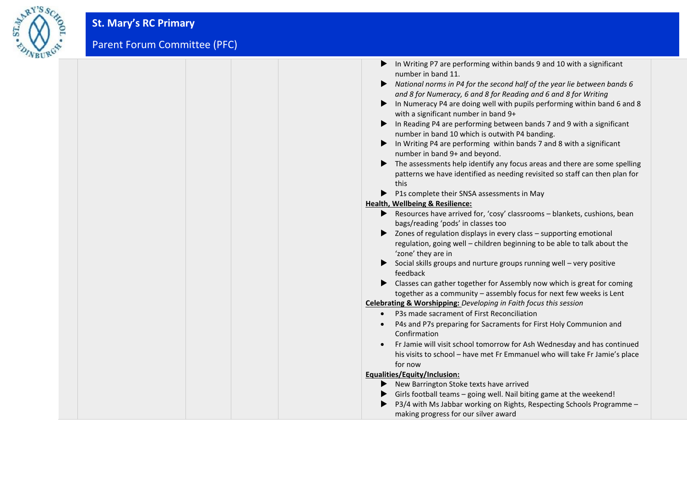

| In Writing P7 are performing within bands 9 and 10 with a significant<br>number in band 11.    |
|------------------------------------------------------------------------------------------------|
| $\blacktriangleright$ National norms in P4 for the second half of the year lie between bands 6 |
| and 8 for Numeracy, 6 and 8 for Reading and 6 and 8 for Writing                                |
| In Numeracy P4 are doing well with pupils performing within band 6 and 8                       |
| with a significant number in band 9+                                                           |
| In Reading P4 are performing between bands 7 and 9 with a significant                          |
| number in band 10 which is outwith P4 banding.                                                 |
| $\blacktriangleright$ In Writing P4 are performing within bands 7 and 8 with a significant     |
| number in band 9+ and beyond.                                                                  |
| The assessments help identify any focus areas and there are some spelling                      |
| patterns we have identified as needing revisited so staff can then plan for                    |
| this                                                                                           |
| ▶ P1s complete their SNSA assessments in May                                                   |
| <b>Health, Wellbeing &amp; Resilience:</b>                                                     |
| $\blacktriangleright$ Resources have arrived for, 'cosy' classrooms – blankets, cushions, bean |
| bags/reading 'pods' in classes too                                                             |
| > Zones of regulation displays in every class - supporting emotional                           |
| regulation, going well - children beginning to be able to talk about the                       |
| 'zone' they are in                                                                             |
| $\triangleright$ Social skills groups and nurture groups running well – very positive          |
| feedback                                                                                       |
| Classes can gather together for Assembly now which is great for coming                         |
| together as a community - assembly focus for next few weeks is Lent                            |
| <b>Celebrating &amp; Worshipping:</b> Developing in Faith focus this session                   |
| • P3s made sacrament of First Reconciliation                                                   |
| P4s and P7s preparing for Sacraments for First Holy Communion and                              |
| Confirmation                                                                                   |
| Fr Jamie will visit school tomorrow for Ash Wednesday and has continued                        |
| his visits to school - have met Fr Emmanuel who will take Fr Jamie's place                     |
| for now                                                                                        |
| Equalities/Equity/Inclusion:                                                                   |
| New Barrington Stoke texts have arrived                                                        |
| • Girls football teams - going well. Nail biting game at the weekend!                          |
| P3/4 with Ms Jabbar working on Rights, Respecting Schools Programme -                          |
| making progress for our silver award                                                           |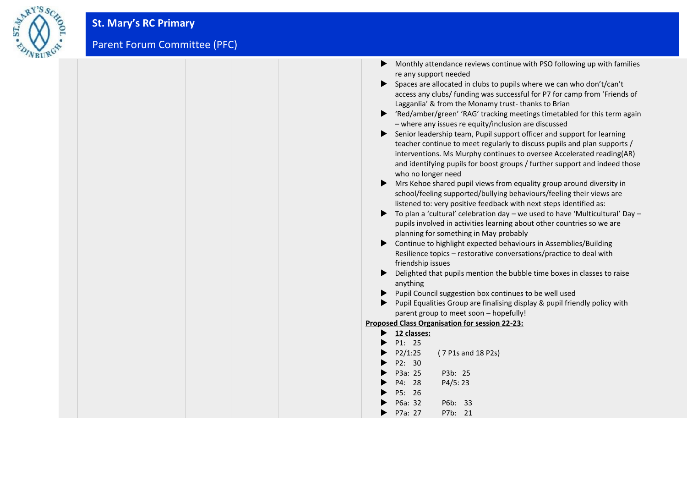

| Monthly attendance reviews continue with PSO following up with families                                                                           |
|---------------------------------------------------------------------------------------------------------------------------------------------------|
| re any support needed                                                                                                                             |
| Spaces are allocated in clubs to pupils where we can who don't/can't                                                                              |
| access any clubs/ funding was successful for P7 for camp from 'Friends of                                                                         |
| Lagganlia' & from the Monamy trust-thanks to Brian                                                                                                |
| 'Red/amber/green' 'RAG' tracking meetings timetabled for this term again<br>- where any issues re equity/inclusion are discussed                  |
| Senior leadership team, Pupil support officer and support for learning<br>▶                                                                       |
| teacher continue to meet regularly to discuss pupils and plan supports /<br>interventions. Ms Murphy continues to oversee Accelerated reading(AR) |
| and identifying pupils for boost groups / further support and indeed those<br>who no longer need                                                  |
| ▶<br>Mrs Kehoe shared pupil views from equality group around diversity in                                                                         |
| school/feeling supported/bullying behaviours/feeling their views are                                                                              |
| listened to: very positive feedback with next steps identified as:                                                                                |
| To plan a 'cultural' celebration day – we used to have 'Multicultural' Day –                                                                      |
| pupils involved in activities learning about other countries so we are                                                                            |
| planning for something in May probably                                                                                                            |
| Continue to highlight expected behaviours in Assemblies/Building<br>▶                                                                             |
| Resilience topics - restorative conversations/practice to deal with                                                                               |
| friendship issues                                                                                                                                 |
| Delighted that pupils mention the bubble time boxes in classes to raise                                                                           |
| anything                                                                                                                                          |
| Pupil Council suggestion box continues to be well used                                                                                            |
| Pupil Equalities Group are finalising display & pupil friendly policy with                                                                        |
| parent group to meet soon - hopefully!                                                                                                            |
| <b>Proposed Class Organisation for session 22-23:</b>                                                                                             |
| 12 classes:                                                                                                                                       |
| P1: 25                                                                                                                                            |
| P2/1:25<br>(7 P1s and 18 P2s)                                                                                                                     |
| P2: 30                                                                                                                                            |
| P3a: 25<br>P3b: 25                                                                                                                                |
| P4/5:23<br>P4: 28                                                                                                                                 |
| P5: 26                                                                                                                                            |
| P6a: 32<br>P6b: 33                                                                                                                                |
| P7a: 27<br>P7b: 21                                                                                                                                |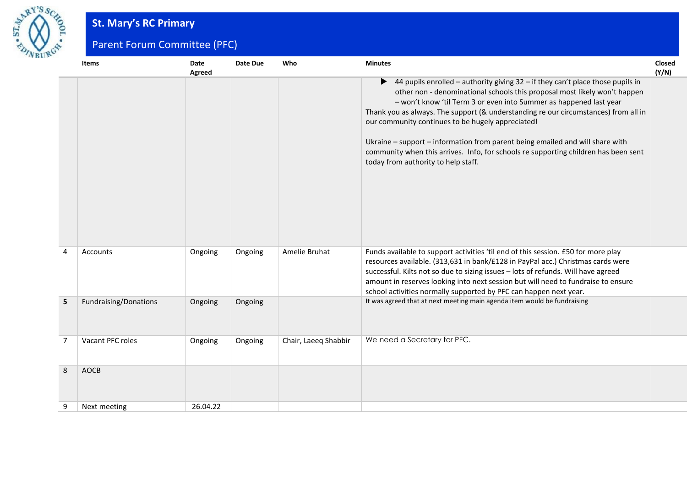

# **St. Mary's RC Primary**

Parent Forum Committee (PFC)

|                | <b>Items</b>          | Date<br>Agreed | Date Due | Who                  | <b>Minutes</b>                                                                                                                                                                                                                                                                                                                                                                                                                                                                                                                                                                                                     | Closed<br>(Y/N) |
|----------------|-----------------------|----------------|----------|----------------------|--------------------------------------------------------------------------------------------------------------------------------------------------------------------------------------------------------------------------------------------------------------------------------------------------------------------------------------------------------------------------------------------------------------------------------------------------------------------------------------------------------------------------------------------------------------------------------------------------------------------|-----------------|
|                |                       |                |          |                      | $\blacktriangleright$ 44 pupils enrolled – authority giving 32 – if they can't place those pupils in<br>other non - denominational schools this proposal most likely won't happen<br>- won't know 'til Term 3 or even into Summer as happened last year<br>Thank you as always. The support (& understanding re our circumstances) from all in<br>our community continues to be hugely appreciated!<br>Ukraine - support - information from parent being emailed and will share with<br>community when this arrives. Info, for schools re supporting children has been sent<br>today from authority to help staff. |                 |
| 4              | Accounts              | Ongoing        | Ongoing  | Amelie Bruhat        | Funds available to support activities 'til end of this session. £50 for more play<br>resources available. (313,631 in bank/£128 in PayPal acc.) Christmas cards were<br>successful. Kilts not so due to sizing issues - lots of refunds. Will have agreed<br>amount in reserves looking into next session but will need to fundraise to ensure<br>school activities normally supported by PFC can happen next year.                                                                                                                                                                                                |                 |
| 5              | Fundraising/Donations | Ongoing        | Ongoing  |                      | It was agreed that at next meeting main agenda item would be fundraising                                                                                                                                                                                                                                                                                                                                                                                                                                                                                                                                           |                 |
| $\overline{7}$ | Vacant PFC roles      | Ongoing        | Ongoing  | Chair, Laeeq Shabbir | We need a Secretary for PFC.                                                                                                                                                                                                                                                                                                                                                                                                                                                                                                                                                                                       |                 |
| 8              | <b>AOCB</b>           |                |          |                      |                                                                                                                                                                                                                                                                                                                                                                                                                                                                                                                                                                                                                    |                 |
| 9              | Next meeting          | 26.04.22       |          |                      |                                                                                                                                                                                                                                                                                                                                                                                                                                                                                                                                                                                                                    |                 |